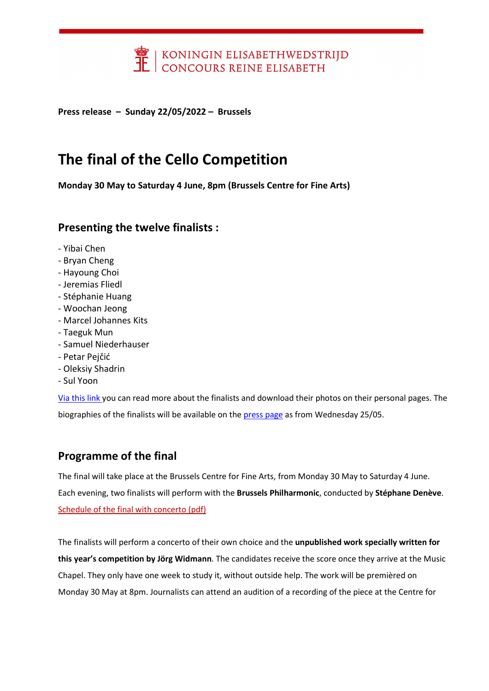

Press release – Sunday 22/05/2022 – Brussels

## The final of the Cello Competition

Monday 30 May to Saturday 4 June, 8pm (Brussels Centre for Fine Arts)

### Presenting the twelve finalists :

- Yibai Chen
- Bryan Cheng
- Hayoung Choi
- Jeremias Fliedl
- Stéphanie Huang
- Woochan Jeong
- Marcel Johannes Kits
- Taeguk Mun
- Samuel Niederhauser
- Petar Pejčić
- Oleksiy Shadrin
- Sul Yoon

[Via this link](https://queenelisabethcompetition.be/en/competitions-details-candidates/activities/cello-2022/) you can read more about the finalists and download their photos on their personal pages. The biographies of the finalists will be available on the [press page](https://queenelisabethcompetition.be/en/press/) as from Wednesday 25/05.

### Programme of the final

The final will take place at the Brussels Centre for Fine Arts, from Monday 30 May to Saturday 4 June. Each evening, two finalists will perform with the Brussels Philharmonic, conducted by Stéphane Denève. [Schedule of the final with concerto \(pdf\)](https://concoursreineelisabeth.be/Concours3/documents/FinalscheduleCello202253815.pdf)

The finalists will perform a concerto of their own choice and the unpublished work specially written for this year's competition by Jörg Widmann. The candidates receive the score once they arrive at the Music Chapel. They only have one week to study it, without outside help. The work will be premièred on Monday 30 May at 8pm. Journalists can attend an audition of a recording of the piece at the Centre for